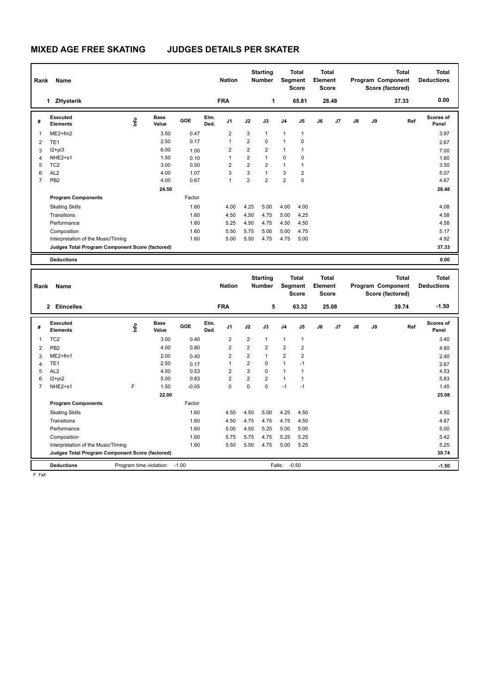# **MIXED AGE FREE SKATING JUDGES DETAILS PER SKATER**

|                | Name<br>Rank                                    |      |                      |        |              | <b>Starting</b><br><b>Nation</b><br><b>Number</b> |                |                | <b>Total</b><br>Segment<br><b>Score</b> |                | <b>Total</b><br>Element<br><b>Score</b> |                | Program Component<br>Score (factored) | Total<br><b>Deductions</b> |       |                           |
|----------------|-------------------------------------------------|------|----------------------|--------|--------------|---------------------------------------------------|----------------|----------------|-----------------------------------------|----------------|-----------------------------------------|----------------|---------------------------------------|----------------------------|-------|---------------------------|
|                | 1 ZHysterik                                     |      |                      |        |              | <b>FRA</b>                                        |                | 1              |                                         | 65.81          |                                         | 28.48          |                                       |                            | 37.33 | 0.00                      |
| #              | <b>Executed</b><br><b>Elements</b>              | lnfo | <b>Base</b><br>Value | GOE    | Elm.<br>Ded. | J <sub>1</sub>                                    | J2             | J3             | J <sub>4</sub>                          | J <sub>5</sub> | J6                                      | J <sub>7</sub> | J8                                    | J9                         | Ref   | <b>Scores of</b><br>Panel |
| 1              | $ME2+fm2$                                       |      | 3.50                 | 0.47   |              | 2                                                 | 3              | $\mathbf{1}$   | $\mathbf{1}$                            | $\overline{1}$ |                                         |                |                                       |                            |       | 3.97                      |
| 2              | TE <sub>1</sub>                                 |      | 2.50                 | 0.17   |              | $\overline{1}$                                    | $\overline{2}$ | $\Omega$       | $\mathbf{1}$                            | 0              |                                         |                |                                       |                            |       | 2.67                      |
| 3              | $12 + pi3$                                      |      | 6.00                 | 1.00   |              | 2                                                 | $\overline{2}$ | $\overline{2}$ | $\mathbf{1}$                            | 1              |                                         |                |                                       |                            |       | 7.00                      |
| 4              | NHE <sub>2+s1</sub>                             |      | 1.50                 | 0.10   |              | $\overline{1}$                                    | $\overline{2}$ | $\mathbf{1}$   | $\mathbf 0$                             | 0              |                                         |                |                                       |                            |       | 1.60                      |
| 5              | TC <sub>2</sub>                                 |      | 3.00                 | 0.50   |              | $\overline{2}$                                    | $\overline{2}$ | $\overline{2}$ | $\mathbf{1}$                            | 1              |                                         |                |                                       |                            |       | 3.50                      |
| 6              | AL <sub>2</sub>                                 |      | 4.00                 | 1.07   |              | 3                                                 | 3              | $\mathbf{1}$   | 3                                       | $\overline{2}$ |                                         |                |                                       |                            |       | 5.07                      |
| $\overline{7}$ | PB <sub>2</sub>                                 |      | 4.00                 | 0.67   |              | $\overline{1}$                                    | $\overline{2}$ | $\overline{2}$ | $\overline{2}$                          | 0              |                                         |                |                                       |                            |       | 4.67                      |
|                |                                                 |      | 24.50                |        |              |                                                   |                |                |                                         |                |                                         |                |                                       |                            |       | 28.48                     |
|                | <b>Program Components</b>                       |      |                      | Factor |              |                                                   |                |                |                                         |                |                                         |                |                                       |                            |       |                           |
|                | <b>Skating Skills</b>                           |      |                      | 1.60   |              | 4.00                                              | 4.25           | 5.00           | 4.00                                    | 4.00           |                                         |                |                                       |                            |       | 4.08                      |
|                | Transitions                                     |      |                      | 1.60   |              | 4.50                                              | 4.50           | 4.75           | 5.00                                    | 4.25           |                                         |                |                                       |                            |       | 4.58                      |
|                | Performance                                     |      |                      | 1.60   |              | 5.25                                              | 4.50           | 4.75           | 4.50                                    | 4.50           |                                         |                |                                       |                            |       | 4.58                      |
|                | Composition                                     |      |                      | 1.60   |              | 5.50                                              | 5.75           | 5.00           | 5.00                                    | 4.75           |                                         |                |                                       |                            |       | 5.17                      |
|                | Interpretation of the Music/Timing              |      |                      | 1.60   |              | 5.00                                              | 5.50           | 4.75           | 4.75                                    | 5.00           |                                         |                |                                       |                            |       | 4.92                      |
|                | Judges Total Program Component Score (factored) |      |                      |        |              |                                                   |                |                |                                         |                |                                         |                |                                       |                            |       | 37.33                     |
|                | <b>Deductions</b>                               |      |                      |        |              |                                                   |                |                |                                         |                |                                         |                |                                       |                            |       | 0.00                      |

| Rank                                            | Name                               |      |                      |         |              | <b>Nation</b>  |                | <b>Starting</b><br><b>Number</b> | Segment        | <b>Total</b><br><b>Score</b> | <b>Total</b><br>Element<br><b>Score</b> |         |    |    | <b>Total</b><br>Program Component<br>Score (factored) | <b>Total</b><br><b>Deductions</b> |
|-------------------------------------------------|------------------------------------|------|----------------------|---------|--------------|----------------|----------------|----------------------------------|----------------|------------------------------|-----------------------------------------|---------|----|----|-------------------------------------------------------|-----------------------------------|
|                                                 | <b>Etincelles</b><br>$\mathbf{2}$  |      |                      |         |              | <b>FRA</b>     |                | 5                                |                | 63.32                        |                                         | 25.08   |    |    | 39.74                                                 | $-1.50$                           |
| #                                               | Executed<br><b>Elements</b>        | lnfo | <b>Base</b><br>Value | GOE     | Elm.<br>Ded. | J <sub>1</sub> | J2             | J3                               | J <sub>4</sub> | J <sub>5</sub>               | J6                                      | J7      | J8 | J9 | Ref                                                   | Scores of<br>Panel                |
| 1                                               | TC <sub>2</sub>                    |      | 3.00                 | 0.40    |              | $\overline{2}$ | $\overline{2}$ | 1                                | $\mathbf{1}$   | $\mathbf{1}$                 |                                         |         |    |    |                                                       | 3.40                              |
| 2                                               | PB <sub>2</sub>                    |      | 4.00                 | 0.80    |              | $\overline{2}$ | $\overline{2}$ | $\overline{2}$                   | $\overline{2}$ | $\overline{2}$               |                                         |         |    |    |                                                       | 4.80                              |
| 3                                               | $ME2+fm1$                          |      | 2.00                 | 0.40    |              | $\overline{2}$ | $\overline{2}$ | 1                                | $\overline{2}$ | $\overline{2}$               |                                         |         |    |    |                                                       | 2.40                              |
| 4                                               | TE <sub>1</sub>                    |      | 2.50                 | 0.17    |              | $\mathbf{1}$   | $\overline{2}$ | $\Omega$                         | $\mathbf{1}$   | $-1$                         |                                         |         |    |    |                                                       | 2.67                              |
| 5                                               | AL <sub>2</sub>                    |      | 4.00                 | 0.53    |              | $\overline{2}$ | 3              | $\Omega$                         | $\mathbf{1}$   | $\mathbf{1}$                 |                                         |         |    |    |                                                       | 4.53                              |
| 6                                               | I2+pi2                             |      | 5.00                 | 0.83    |              | $\overline{2}$ | $\overline{2}$ | $\overline{2}$                   | $\mathbf{1}$   | $\mathbf{1}$                 |                                         |         |    |    |                                                       | 5.83                              |
| $\overline{7}$                                  | NHE2+s1                            | F    | 1.50                 | $-0.05$ |              | $\mathbf 0$    | 0              | $\Omega$                         | $-1$           | $-1$                         |                                         |         |    |    |                                                       | 1.45                              |
|                                                 |                                    |      | 22.00                |         |              |                |                |                                  |                |                              |                                         |         |    |    |                                                       | 25.08                             |
|                                                 | <b>Program Components</b>          |      |                      | Factor  |              |                |                |                                  |                |                              |                                         |         |    |    |                                                       |                                   |
|                                                 | <b>Skating Skills</b>              |      |                      | 1.60    |              | 4.50           | 4.50           | 5.00                             | 4.25           | 4.50                         |                                         |         |    |    |                                                       | 4.50                              |
|                                                 | Transitions                        |      |                      | 1.60    |              | 4.50           | 4.75           | 4.75                             | 4.75           | 4.50                         |                                         |         |    |    |                                                       | 4.67                              |
|                                                 | Performance                        |      |                      | 1.60    |              | 5.00           | 4.50           | 5.25                             | 5.00           | 5.00                         |                                         |         |    |    |                                                       | 5.00                              |
|                                                 | Composition                        |      |                      | 1.60    |              | 5.75           | 5.75           | 4.75                             | 5.25           | 5.25                         |                                         |         |    |    |                                                       | 5.42                              |
|                                                 | Interpretation of the Music/Timing |      |                      | 1.60    |              | 5.50           | 5.50           | 4.75                             | 5.00           | 5.25                         |                                         |         |    |    |                                                       | 5.25                              |
| Judges Total Program Component Score (factored) |                                    |      |                      |         |              |                |                |                                  |                |                              |                                         |         |    |    |                                                       | 39.74                             |
|                                                 | <b>Deductions</b>                  |      |                      |         | Falls:       | $-0.50$        |                |                                  |                |                              |                                         | $-1.50$ |    |    |                                                       |                                   |

F Fall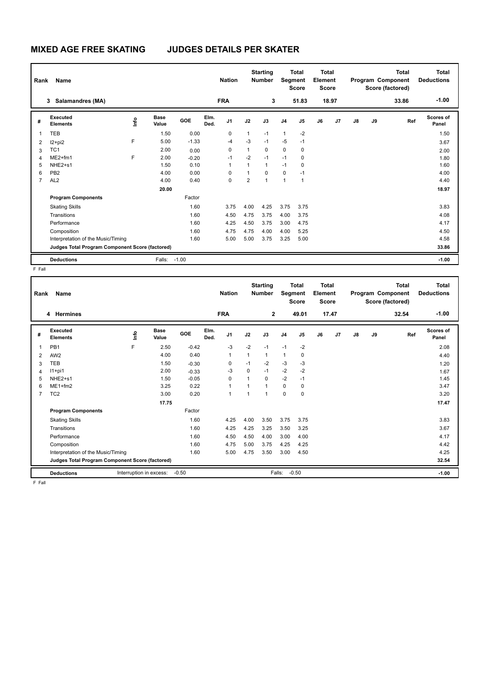# **MIXED AGE FREE SKATING JUDGES DETAILS PER SKATER**

|                | Name<br>Rank                                    |    |                      |         | <b>Nation</b> |                |              | <b>Starting</b><br><b>Number</b> |                | <b>Total</b><br>Segment<br><b>Score</b> | <b>Total</b><br>Element<br><b>Score</b><br>18.97 |    | Program Component |    | <b>Total</b><br>Score (factored) | Total<br><b>Deductions</b> |
|----------------|-------------------------------------------------|----|----------------------|---------|---------------|----------------|--------------|----------------------------------|----------------|-----------------------------------------|--------------------------------------------------|----|-------------------|----|----------------------------------|----------------------------|
|                | Salamandres (MA)<br>3                           |    |                      |         |               | <b>FRA</b>     |              | 3                                |                | 51.83                                   |                                                  |    |                   |    | 33.86                            | $-1.00$                    |
| #              | <b>Executed</b><br><b>Elements</b>              | ۴ů | <b>Base</b><br>Value | GOE     | Elm.<br>Ded.  | J <sub>1</sub> | J2           | J3                               | J <sub>4</sub> | J <sub>5</sub>                          | J6                                               | J7 | J8                | J9 | Ref                              | Scores of<br>Panel         |
| 1              | <b>TEB</b>                                      |    | 1.50                 | 0.00    |               | 0              | $\mathbf{1}$ | $-1$                             | $\mathbf{1}$   | $-2$                                    |                                                  |    |                   |    |                                  | 1.50                       |
| 2              | $12 + pi2$                                      | F  | 5.00                 | $-1.33$ |               | $-4$           | $-3$         | $-1$                             | $-5$           | $-1$                                    |                                                  |    |                   |    |                                  | 3.67                       |
| 3              | TC <sub>1</sub>                                 |    | 2.00                 | 0.00    |               | 0              | $\mathbf{1}$ | $\mathbf 0$                      | $\mathbf 0$    | 0                                       |                                                  |    |                   |    |                                  | 2.00                       |
| 4              | $ME2+fm1$                                       | F  | 2.00                 | $-0.20$ |               | $-1$           | $-2$         | $-1$                             | $-1$           | 0                                       |                                                  |    |                   |    |                                  | 1.80                       |
| 5              | NHE <sub>2+s1</sub>                             |    | 1.50                 | 0.10    |               | 1              | 1            | $\mathbf{1}$                     | $-1$           | 0                                       |                                                  |    |                   |    |                                  | 1.60                       |
| 6              | PB <sub>2</sub>                                 |    | 4.00                 | 0.00    |               | 0              | 1            | $\Omega$                         | $\mathbf 0$    | $-1$                                    |                                                  |    |                   |    |                                  | 4.00                       |
| $\overline{7}$ | AL <sub>2</sub>                                 |    | 4.00                 | 0.40    |               | 0              | 2            | 1                                | $\overline{1}$ | $\mathbf{1}$                            |                                                  |    |                   |    |                                  | 4.40                       |
|                |                                                 |    | 20.00                |         |               |                |              |                                  |                |                                         |                                                  |    |                   |    |                                  | 18.97                      |
|                | <b>Program Components</b>                       |    |                      | Factor  |               |                |              |                                  |                |                                         |                                                  |    |                   |    |                                  |                            |
|                | <b>Skating Skills</b>                           |    |                      | 1.60    |               | 3.75           | 4.00         | 4.25                             | 3.75           | 3.75                                    |                                                  |    |                   |    |                                  | 3.83                       |
|                | Transitions                                     |    |                      | 1.60    |               | 4.50           | 4.75         | 3.75                             | 4.00           | 3.75                                    |                                                  |    |                   |    |                                  | 4.08                       |
|                | Performance                                     |    |                      | 1.60    |               | 4.25           | 4.50         | 3.75                             | 3.00           | 4.75                                    |                                                  |    |                   |    |                                  | 4.17                       |
|                | Composition                                     |    |                      | 1.60    |               | 4.75           | 4.75         | 4.00                             | 4.00           | 5.25                                    |                                                  |    |                   |    |                                  | 4.50                       |
|                | Interpretation of the Music/Timing              |    |                      | 1.60    |               | 5.00           | 5.00         | 3.75                             | 3.25           | 5.00                                    |                                                  |    |                   |    |                                  | 4.58                       |
|                | Judges Total Program Component Score (factored) |    |                      |         |               |                |              |                                  |                |                                         |                                                  |    |                   |    |                                  | 33.86                      |
|                | <b>Deductions</b>                               |    | Falls:               | $-1.00$ |               |                |              |                                  |                |                                         |                                                  |    |                   |    |                                  | $-1.00$                    |

F Fall

| Rank           | Name<br>4 Hermines                              |      |                      |         |              | <b>Nation</b><br><b>FRA</b> |              | <b>Starting</b><br><b>Number</b><br>$\overline{2}$ | Segment        | <b>Total</b><br><b>Score</b><br>49.01 | <b>Total</b><br>Element<br><b>Score</b> | 17.47   |    |    | <b>Total</b><br>Program Component<br>Score (factored)<br>32.54 | <b>Total</b><br><b>Deductions</b><br>$-1.00$ |
|----------------|-------------------------------------------------|------|----------------------|---------|--------------|-----------------------------|--------------|----------------------------------------------------|----------------|---------------------------------------|-----------------------------------------|---------|----|----|----------------------------------------------------------------|----------------------------------------------|
|                |                                                 |      |                      |         |              |                             |              |                                                    |                |                                       |                                         |         |    |    |                                                                |                                              |
| #              | Executed<br><b>Elements</b>                     | lnfo | <b>Base</b><br>Value | GOE     | Elm.<br>Ded. | J <sub>1</sub>              | J2           | J3                                                 | J <sub>4</sub> | J5                                    | J6                                      | J7      | J8 | J9 | Ref                                                            | <b>Scores of</b><br>Panel                    |
| 1              | PB <sub>1</sub>                                 | F    | 2.50                 | $-0.42$ |              | $-3$                        | $-2$         | $-1$                                               | $-1$           | $-2$                                  |                                         |         |    |    |                                                                | 2.08                                         |
| 2              | AW <sub>2</sub>                                 |      | 4.00                 | 0.40    |              | $\overline{1}$              | $\mathbf{1}$ | $\mathbf{1}$                                       | $\mathbf{1}$   | 0                                     |                                         |         |    |    |                                                                | 4.40                                         |
| 3              | <b>TEB</b>                                      |      | 1.50                 | $-0.30$ |              | 0                           | $-1$         | $-2$                                               | $-3$           | -3                                    |                                         |         |    |    |                                                                | 1.20                                         |
| $\overline{4}$ | $11+pi1$                                        |      | 2.00                 | $-0.33$ |              | $-3$                        | 0            | $-1$                                               | $-2$           | $-2$                                  |                                         |         |    |    |                                                                | 1.67                                         |
| 5              | NHE2+s1                                         |      | 1.50                 | $-0.05$ |              | $\mathbf 0$                 | 1            | $\Omega$                                           | $-2$           | $-1$                                  |                                         |         |    |    |                                                                | 1.45                                         |
| 6              | $ME1 + fm2$                                     |      | 3.25                 | 0.22    |              | 1                           |              | 1                                                  | $\Omega$       | 0                                     |                                         |         |    |    |                                                                | 3.47                                         |
| $\overline{7}$ | TC <sub>2</sub>                                 |      | 3.00                 | 0.20    |              | $\overline{1}$              | 1            | 1                                                  | $\Omega$       | $\mathbf 0$                           |                                         |         |    |    |                                                                | 3.20                                         |
|                |                                                 |      | 17.75                |         |              |                             |              |                                                    |                |                                       |                                         |         |    |    |                                                                | 17.47                                        |
|                | <b>Program Components</b>                       |      |                      | Factor  |              |                             |              |                                                    |                |                                       |                                         |         |    |    |                                                                |                                              |
|                | <b>Skating Skills</b>                           |      |                      | 1.60    |              | 4.25                        | 4.00         | 3.50                                               | 3.75           | 3.75                                  |                                         |         |    |    |                                                                | 3.83                                         |
|                | Transitions                                     |      |                      | 1.60    |              | 4.25                        | 4.25         | 3.25                                               | 3.50           | 3.25                                  |                                         |         |    |    |                                                                | 3.67                                         |
|                | Performance                                     |      |                      | 1.60    |              | 4.50                        | 4.50         | 4.00                                               | 3.00           | 4.00                                  |                                         |         |    |    |                                                                | 4.17                                         |
|                | Composition                                     |      |                      | 1.60    |              | 4.75                        | 5.00         | 3.75                                               | 4.25           | 4.25                                  |                                         |         |    |    |                                                                | 4.42                                         |
|                | Interpretation of the Music/Timing              |      |                      | 1.60    |              | 5.00                        | 4.75         | 3.50                                               | 3.00           | 4.50                                  |                                         |         |    |    |                                                                | 4.25                                         |
|                | Judges Total Program Component Score (factored) |      |                      |         |              |                             |              |                                                    |                |                                       |                                         | 32.54   |    |    |                                                                |                                              |
|                | <b>Deductions</b><br>Interruption in excess:    |      |                      | Falls:  |              | $-0.50$                     |              |                                                    |                |                                       |                                         | $-1.00$ |    |    |                                                                |                                              |

F Fall